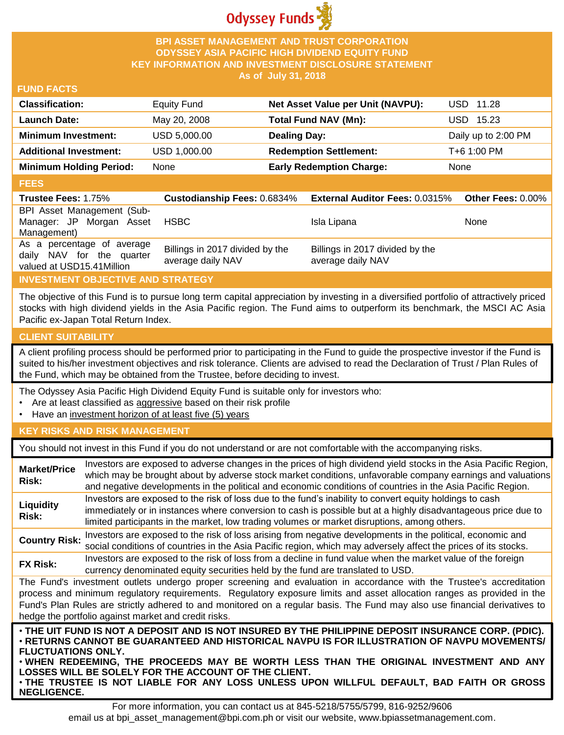

## **BPI ASSET MANAGEMENT AND TRUST CORPORATION ODYSSEY ASIA PACIFIC HIGH DIVIDEND EQUITY FUND KEY INFORMATION AND INVESTMENT DISCLOSURE STATEMENT As of July 31, 2018**

### **FUND FACTS**

| <b>Classification:</b>         | <b>Equity Fund</b> | Net Asset Value per Unit (NAVPU): | USD 11.28           |
|--------------------------------|--------------------|-----------------------------------|---------------------|
| <b>Launch Date:</b>            | May 20, 2008       | Total Fund NAV (Mn):              | USD 15.23           |
| <b>Minimum Investment:</b>     | USD 5,000.00       | <b>Dealing Day:</b>               | Daily up to 2:00 PM |
| <b>Additional Investment:</b>  | USD 1,000.00       | <b>Redemption Settlement:</b>     | T+6 1:00 PM         |
| <b>Minimum Holding Period:</b> | None               | <b>Early Redemption Charge:</b>   | None                |

#### **FEES**

| ----                                                                                 |                                                      |                                                      |                   |
|--------------------------------------------------------------------------------------|------------------------------------------------------|------------------------------------------------------|-------------------|
| <b>Trustee Fees: 1.75%</b>                                                           | <b>Custodianship Fees: 0.6834%</b>                   | <b>External Auditor Fees: 0.0315%</b>                | Other Fees: 0.00% |
| BPI Asset Management (Sub-<br>Manager: JP Morgan Asset<br>Management)                | <b>HSBC</b>                                          | Isla Lipana                                          | <b>None</b>       |
| As a percentage of average<br>daily NAV for the quarter<br>valued at USD15.41Million | Billings in 2017 divided by the<br>average daily NAV | Billings in 2017 divided by the<br>average daily NAV |                   |

## **INVESTMENT OBJECTIVE AND STRATEGY**

The objective of this Fund is to pursue long term capital appreciation by investing in a diversified portfolio of attractively priced stocks with high dividend yields in the Asia Pacific region. The Fund aims to outperform its benchmark, the MSCI AC Asia Pacific ex-Japan Total Return Index.

## **CLIENT SUITABILITY**

**NEGLIGENCE.**

A client profiling process should be performed prior to participating in the Fund to guide the prospective investor if the Fund is suited to his/her investment objectives and risk tolerance. Clients are advised to read the Declaration of Trust / Plan Rules of the Fund, which may be obtained from the Trustee, before deciding to invest.

The Odyssey Asia Pacific High Dividend Equity Fund is suitable only for investors who:

- Are at least classified as aggressive based on their risk profile
- Have an investment horizon of at least five (5) years

#### **KEY RISKS AND RISK MANAGEMENT**

You should not invest in this Fund if you do not understand or are not comfortable with the accompanying risks.

| <b>Market/Price</b><br>Risk: | Investors are exposed to adverse changes in the prices of high dividend yield stocks in the Asia Pacific Region,<br>which may be brought about by adverse stock market conditions, unfavorable company earnings and valuations<br>and negative developments in the political and economic conditions of countries in the Asia Pacific Region.                                                                                                    |
|------------------------------|--------------------------------------------------------------------------------------------------------------------------------------------------------------------------------------------------------------------------------------------------------------------------------------------------------------------------------------------------------------------------------------------------------------------------------------------------|
| Liquidity<br>Risk:           | Investors are exposed to the risk of loss due to the fund's inability to convert equity holdings to cash<br>immediately or in instances where conversion to cash is possible but at a highly disadvantageous price due to<br>limited participants in the market, low trading volumes or market disruptions, among others.                                                                                                                        |
| <b>Country Risk:</b>         | Investors are exposed to the risk of loss arising from negative developments in the political, economic and<br>social conditions of countries in the Asia Pacific region, which may adversely affect the prices of its stocks.                                                                                                                                                                                                                   |
| <b>FX Risk:</b>              | Investors are exposed to the risk of loss from a decline in fund value when the market value of the foreign<br>currency denominated equity securities held by the fund are translated to USD.                                                                                                                                                                                                                                                    |
|                              | The Fund's investment outlets undergo proper screening and evaluation in accordance with the Trustee's accreditation<br>process and minimum regulatory requirements. Regulatory exposure limits and asset allocation ranges as provided in the<br>Fund's Plan Rules are strictly adhered to and monitored on a regular basis. The Fund may also use financial derivatives to<br>hedge the portfolio against market and credit risks.             |
| <b>FLUCTUATIONS ONLY.</b>    | . THE UIT FUND IS NOT A DEPOSIT AND IS NOT INSURED BY THE PHILIPPINE DEPOSIT INSURANCE CORP. (PDIC).<br>· RETURNS CANNOT BE GUARANTEED AND HISTORICAL NAVPU IS FOR ILLUSTRATION OF NAVPU MOVEMENTS/<br>. WHEN REDEEMING, THE PROCEEDS MAY BE WORTH LESS THAN THE ORIGINAL INVESTMENT AND ANY<br>LOSSES WILL BE SOLELY FOR THE ACCOUNT OF THE CLIENT.<br>. THE TRUSTEE IS NOT LIABLE FOR ANY LOSS UNLESS UPON WILLFUL DEFAULT, BAD FAITH OR GROSS |

For more information, you can contact us at 845-5218/5755/5799, 816-9252/9606 email us at bpi\_asset\_management@bpi.com.ph or visit our website, www.bpiassetmanagement.com.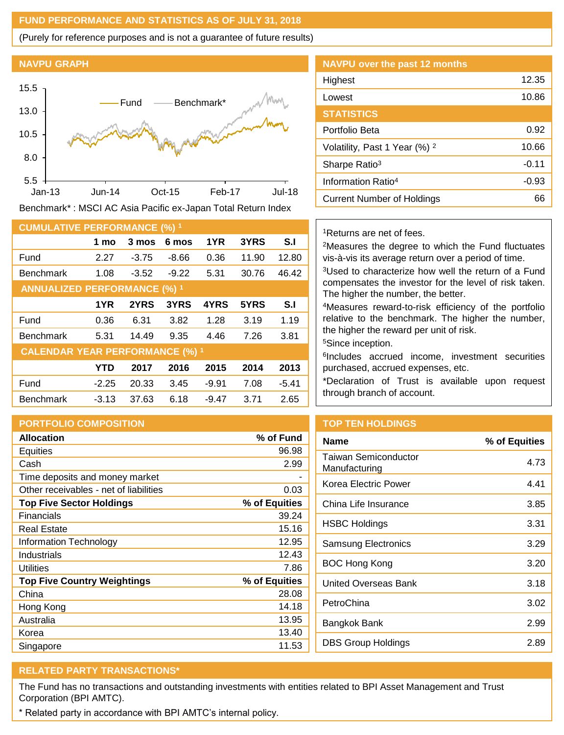## **FUND PERFORMANCE AND STATISTICS AS OF JULY 31, 2018**

(Purely for reference purposes and is not a guarantee of future results)

#### **NAVPU GRAPH**



Benchmark\* : MSCI AC Asia Pacific ex-Japan Total Return Index

| <b>CUMULATIVE PERFORMANCE (%) 1</b>    |            |         |         |         |       |         |
|----------------------------------------|------------|---------|---------|---------|-------|---------|
|                                        | 1 mo       | 3 mos   | 6 mos   | 1YR     | 3YRS  | S.I     |
| Fund                                   | 2.27       | $-3.75$ | $-8.66$ | 0.36    | 11.90 | 12.80   |
| <b>Benchmark</b>                       | 1.08       | $-3.52$ | $-9.22$ | 5.31    | 30.76 | 46.42   |
| <b>ANNUALIZED PERFORMANCE (%) 1</b>    |            |         |         |         |       |         |
|                                        | 1YR        | 2YRS    | 3YRS    | 4YRS    | 5YRS  | S.I     |
| Fund                                   | 0.36       | 6.31    | 3.82    | 1.28    | 3.19  | 1.19    |
| <b>Benchmark</b>                       | 5.31       | 14.49   | 9.35    | 4.46    | 7.26  | 3.81    |
| <b>CALENDAR YEAR PERFORMANCE (%) 1</b> |            |         |         |         |       |         |
|                                        | <b>YTD</b> | 2017    | 2016    | 2015    | 2014  | 2013    |
| Fund                                   | $-2.25$    | 20.33   | 3.45    | $-9.91$ | 7.08  | $-5.41$ |
| <b>Benchmark</b>                       | $-3.13$    | 37.63   | 6.18    | $-9.47$ | 3.71  | 2.65    |

## **PORTFOLIO COMPOSITION**

| <b>Allocation</b>                      | % of Fund     |
|----------------------------------------|---------------|
| Equities                               | 96.98         |
| Cash                                   | 2.99          |
| Time deposits and money market         |               |
| Other receivables - net of liabilities | 0.03          |
| <b>Top Five Sector Holdings</b>        | % of Equities |
| Financials                             | 39.24         |
| Real Estate                            | 15.16         |
| Information Technology                 | 12.95         |
| Industrials                            | 12.43         |
| Utilities                              | 7.86          |
| <b>Top Five Country Weightings</b>     | % of Equities |
| China                                  | 28.08         |
| Hong Kong                              | 14.18         |
| Australia                              | 13.95         |
| Korea                                  | 13.40         |
| Singapore                              | 11.53         |

| <b>NAVPU over the past 12 months</b>     |         |
|------------------------------------------|---------|
| Highest                                  | 12.35   |
| Lowest                                   | 10.86   |
| <b>STATISTICS</b>                        |         |
| Portfolio Beta                           | 0.92    |
| Volatility, Past 1 Year (%) <sup>2</sup> | 10.66   |
| Sharpe Ratio <sup>3</sup>                | $-0.11$ |
| Information Ratio <sup>4</sup>           | $-0.93$ |
| Current Number of Holdings               | 66      |

#### <sup>1</sup>Returns are net of fees.

<sup>2</sup>Measures the degree to which the Fund fluctuates vis-à-vis its average return over a period of time.

<sup>3</sup>Used to characterize how well the return of a Fund compensates the investor for the level of risk taken. The higher the number, the better.

<sup>4</sup>Measures reward-to-risk efficiency of the portfolio relative to the benchmark. The higher the number, the higher the reward per unit of risk.

<sup>5</sup>Since inception.

6 Includes accrued income, investment securities purchased, accrued expenses, etc.

\*Declaration of Trust is available upon request through branch of account.

## **TOP TEN HOLDINGS**

| <b>Name</b>                                  | % of Equities |
|----------------------------------------------|---------------|
| <b>Taiwan Semiconductor</b><br>Manufacturing | 4.73          |
| Korea Electric Power                         | 4.41          |
| China Life Insurance                         | 3.85          |
| HSBC Holdings                                | 3.31          |
| <b>Samsung Electronics</b>                   | 3.29          |
| BOC Hong Kong                                | 3.20          |
| United Overseas Bank                         | 3.18          |
| PetroChina                                   | 3.02          |
| Bangkok Bank                                 | 2.99          |
| DBS Group Holdings                           | 2.89          |

# **RELATED PARTY TRANSACTIONS\***

The Fund has no transactions and outstanding investments with entities related to BPI Asset Management and Trust Corporation (BPI AMTC).

\* Related party in accordance with BPI AMTC's internal policy.